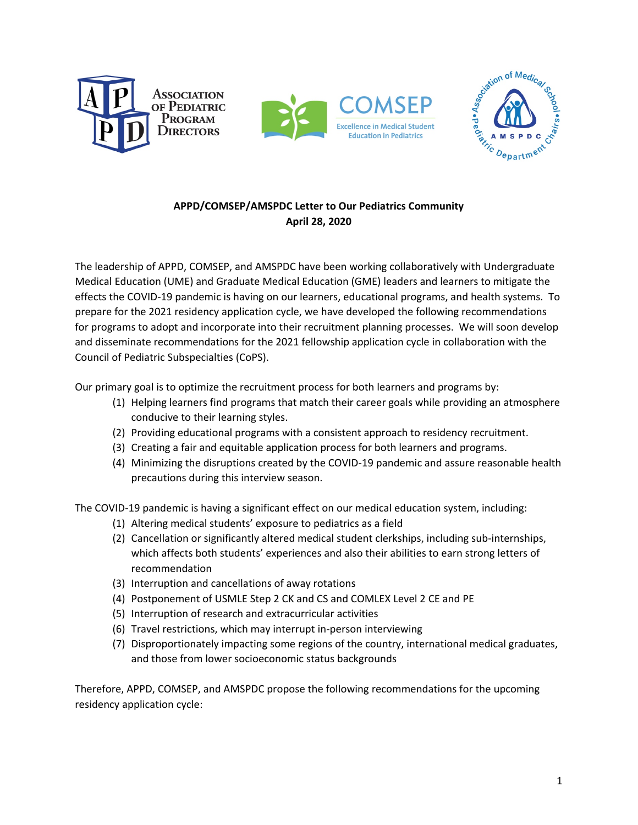





## **APPD/COMSEP/AMSPDC Letter to Our Pediatrics Community April 28, 2020**

The leadership of APPD, COMSEP, and AMSPDC have been working collaboratively with Undergraduate Medical Education (UME) and Graduate Medical Education (GME) leaders and learners to mitigate the effects the COVID-19 pandemic is having on our learners, educational programs, and health systems. To prepare for the 2021 residency application cycle, we have developed the following recommendations for programs to adopt and incorporate into their recruitment planning processes. We will soon develop and disseminate recommendations for the 2021 fellowship application cycle in collaboration with the Council of Pediatric Subspecialties (CoPS).

Our primary goal is to optimize the recruitment process for both learners and programs by:

- (1) Helping learners find programs that match their career goals while providing an atmosphere conducive to their learning styles.
- (2) Providing educational programs with a consistent approach to residency recruitment.
- (3) Creating a fair and equitable application process for both learners and programs.
- (4) Minimizing the disruptions created by the COVID-19 pandemic and assure reasonable health precautions during this interview season.

The COVID-19 pandemic is having a significant effect on our medical education system, including:

- (1) Altering medical students' exposure to pediatrics as a field
- (2) Cancellation or significantly altered medical student clerkships, including sub-internships, which affects both students' experiences and also their abilities to earn strong letters of recommendation
- (3) Interruption and cancellations of away rotations
- (4) Postponement of USMLE Step 2 CK and CS and COMLEX Level 2 CE and PE
- (5) Interruption of research and extracurricular activities
- (6) Travel restrictions, which may interrupt in-person interviewing
- (7) Disproportionately impacting some regions of the country, international medical graduates, and those from lower socioeconomic status backgrounds

Therefore, APPD, COMSEP, and AMSPDC propose the following recommendations for the upcoming residency application cycle: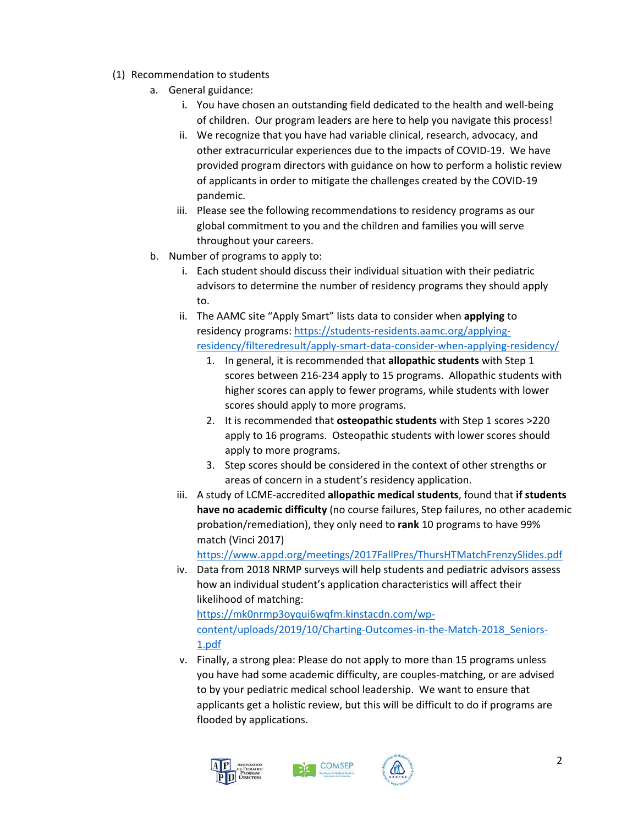- (1) Recommendation to students
	- a. General guidance:
		- i. You have chosen an outstanding field dedicated to the health and well-being of children. Our program leaders are here to help you navigate this process!
		- ii. We recognize that you have had variable clinical, research, advocacy, and other extracurricular experiences due to the impacts of COVID-19. We have provided program directors with guidance on how to perform a holistic review of applicants in order to mitigate the challenges created by the COVID-19 pandemic.
		- iii. Please see the following recommendations to residency programs as our global commitment to you and the children and families you will serve throughout your careers.
	- b. Number of programs to apply to:
		- i. Each student should discuss their individual situation with their pediatric advisors to determine the number of residency programs they should apply to.
		- ii. The AAMC site "Apply Smart" lists data to consider when **applying** to residency programs[: https://students-residents.aamc.org/applying](https://students-residents.aamc.org/applying-residency/filteredresult/apply-smart-data-consider-when-applying-residency/)[residency/filteredresult/apply-smart-data-consider-when-applying-residency/](https://students-residents.aamc.org/applying-residency/filteredresult/apply-smart-data-consider-when-applying-residency/)
			- 1. In general, it is recommended that **allopathic students** with Step 1 scores between 216-234 apply to 15 programs. Allopathic students with higher scores can apply to fewer programs, while students with lower scores should apply to more programs.
			- 2. It is recommended that **osteopathic students** with Step 1 scores >220 apply to 16 programs. Osteopathic students with lower scores should apply to more programs.
			- 3. Step scores should be considered in the context of other strengths or areas of concern in a student's residency application.
		- iii. A study of LCME-accredited **allopathic medical students**, found that **if students have no academic difficulty** (no course failures, Step failures, no other academic probation/remediation), they only need to **rank** 10 programs to have 99% match (Vinci 2017)

<https://www.appd.org/meetings/2017FallPres/ThursHTMatchFrenzySlides.pdf>

- iv. Data from 2018 NRMP surveys will help students and pediatric advisors assess how an individual student's application characteristics will affect their likelihood of matching: [https://mk0nrmp3oyqui6wqfm.kinstacdn.com/wp](https://mk0nrmp3oyqui6wqfm.kinstacdn.com/wp-content/uploads/2019/10/Charting-Outcomes-in-the-Match-2018_Seniors-1.pdf)[content/uploads/2019/10/Charting-Outcomes-in-the-Match-2018\\_Seniors-](https://mk0nrmp3oyqui6wqfm.kinstacdn.com/wp-content/uploads/2019/10/Charting-Outcomes-in-the-Match-2018_Seniors-1.pdf)[1.pdf](https://mk0nrmp3oyqui6wqfm.kinstacdn.com/wp-content/uploads/2019/10/Charting-Outcomes-in-the-Match-2018_Seniors-1.pdf)
- v. Finally, a strong plea: Please do not apply to more than 15 programs unless you have had some academic difficulty, are couples-matching, or are advised to by your pediatric medical school leadership. We want to ensure that applicants get a holistic review, but this will be difficult to do if programs are flooded by applications.





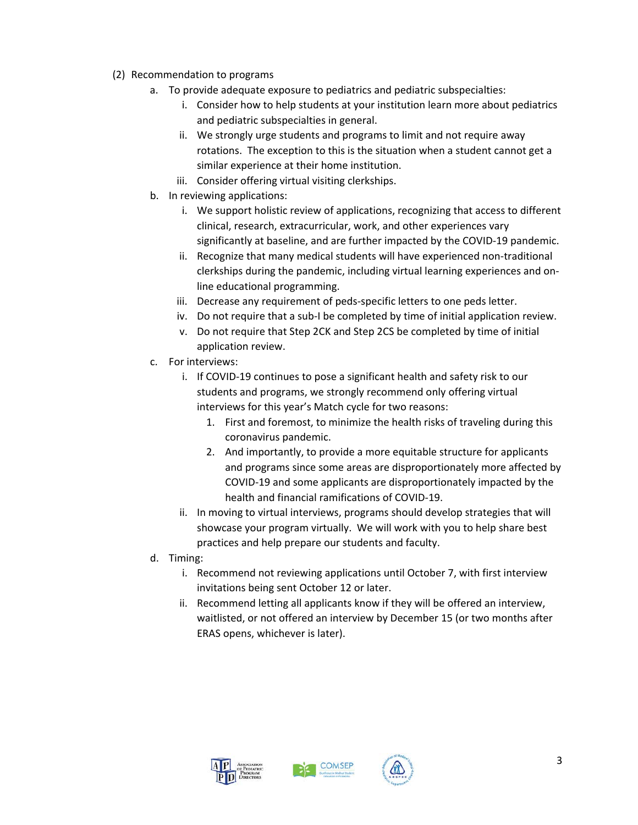- (2) Recommendation to programs
	- a. To provide adequate exposure to pediatrics and pediatric subspecialties:
		- i. Consider how to help students at your institution learn more about pediatrics and pediatric subspecialties in general.
		- ii. We strongly urge students and programs to limit and not require away rotations. The exception to this is the situation when a student cannot get a similar experience at their home institution.
		- iii. Consider offering virtual visiting clerkships.
	- b. In reviewing applications:
		- i. We support holistic review of applications, recognizing that access to different clinical, research, extracurricular, work, and other experiences vary significantly at baseline, and are further impacted by the COVID-19 pandemic.
		- ii. Recognize that many medical students will have experienced non-traditional clerkships during the pandemic, including virtual learning experiences and online educational programming.
		- iii. Decrease any requirement of peds-specific letters to one peds letter.
		- iv. Do not require that a sub-I be completed by time of initial application review.
		- v. Do not require that Step 2CK and Step 2CS be completed by time of initial application review.
	- c. For interviews:
		- i. If COVID-19 continues to pose a significant health and safety risk to our students and programs, we strongly recommend only offering virtual interviews for this year's Match cycle for two reasons:
			- 1. First and foremost, to minimize the health risks of traveling during this coronavirus pandemic.
			- 2. And importantly, to provide a more equitable structure for applicants and programs since some areas are disproportionately more affected by COVID-19 and some applicants are disproportionately impacted by the health and financial ramifications of COVID-19.
		- ii. In moving to virtual interviews, programs should develop strategies that will showcase your program virtually. We will work with you to help share best practices and help prepare our students and faculty.
	- d. Timing:
		- i. Recommend not reviewing applications until October 7, with first interview invitations being sent October 12 or later.
		- ii. Recommend letting all applicants know if they will be offered an interview, waitlisted, or not offered an interview by December 15 (or two months after ERAS opens, whichever is later).